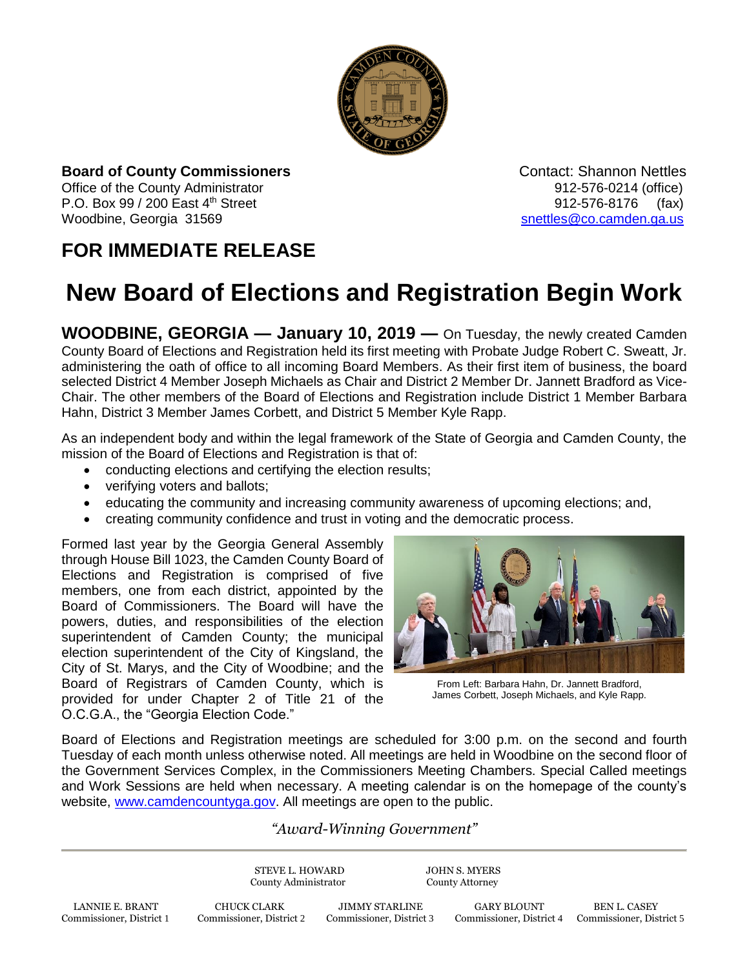

**Board of County Commissioners Contact: Shannon Nettles Contact: Shannon Nettles** Office of the County Administrator **Department County Administrator 912-576-0214** (office) P.O. Box 99 / 200 East 4th Street 912-576-8176 (fax) Woodbine, Georgia 31569 [snettles@co.camden.ga.us](mailto:snettles@co.camden.ga.us)

## **FOR IMMEDIATE RELEASE**

## **New Board of Elections and Registration Begin Work**

**WOODBINE, GEORGIA — January 10, 2019 —** On Tuesday, the newly created Camden County Board of Elections and Registration held its first meeting with Probate Judge Robert C. Sweatt, Jr. administering the oath of office to all incoming Board Members. As their first item of business, the board selected District 4 Member Joseph Michaels as Chair and District 2 Member Dr. Jannett Bradford as Vice-Chair. The other members of the Board of Elections and Registration include District 1 Member Barbara Hahn, District 3 Member James Corbett, and District 5 Member Kyle Rapp.

As an independent body and within the legal framework of the State of Georgia and Camden County, the mission of the Board of Elections and Registration is that of:

- conducting elections and certifying the election results;
- verifying voters and ballots;
- educating the community and increasing community awareness of upcoming elections; and,
- creating community confidence and trust in voting and the democratic process.

Formed last year by the Georgia General Assembly through House Bill 1023, the Camden County Board of Elections and Registration is comprised of five members, one from each district, appointed by the Board of Commissioners. The Board will have the powers, duties, and responsibilities of the election superintendent of Camden County; the municipal election superintendent of the City of Kingsland, the City of St. Marys, and the City of Woodbine; and the Board of Registrars of Camden County, which is provided for under Chapter 2 of Title 21 of the O.C.G.A., the "Georgia Election Code."



From Left: Barbara Hahn, Dr. Jannett Bradford, James Corbett, Joseph Michaels, and Kyle Rapp.

Board of Elections and Registration meetings are scheduled for 3:00 p.m. on the second and fourth Tuesday of each month unless otherwise noted. All meetings are held in Woodbine on the second floor of the Government Services Complex, in the Commissioners Meeting Chambers. Special Called meetings and Work Sessions are held when necessary. A meeting calendar is on the homepage of the county's website, [www.camdencountyga.gov.](http://www.camdencountyga.gov/) All meetings are open to the public.

## *"Award-Winning Government"*

STEVE L. HOWARD JOHN S. MYERS County Administrator County Attorney

LANNIE E. BRANT CHUCK CLARK JIMMY STARLINE GARY BLOUNT BEN L. CASEY Commissioner, District 1 Commissioner, District 2 Commissioner, District 3 Commissioner, District 4 Commissioner, District 1

Commissioner, District 4 Commissioner, District 5